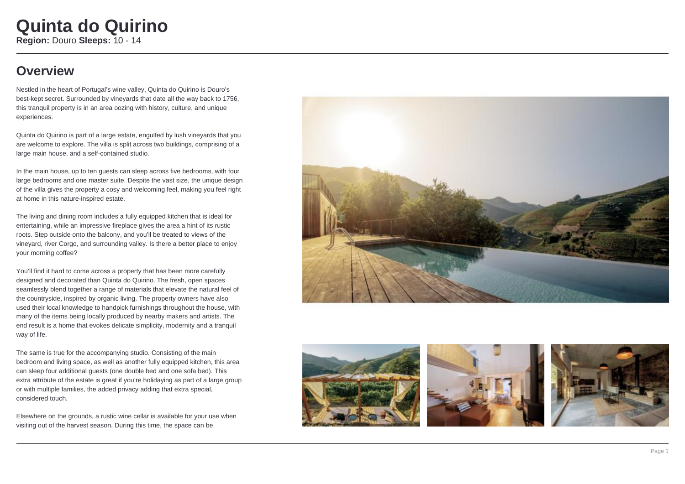### **Overview**

Nestled in the heart of Portugal's wine valley, Quinta do Quirino is Douro's best-kept secret. Surrounded by vineyards that date all the way back to 1756, this tranquil property is in an area oozing with history, culture, and unique experiences.

Quinta do Quirino is part of a large estate, engulfed by lush vineyards that you are welcome to explore. The villa is split across two buildings, comprising of a large main house, and a self-contained studio.

In the main house, up to ten quests can sleep across five bedrooms, with four large bedrooms and one master suite. Despite the vast size, the unique design of the villa gives the property a cosy and welcoming feel, making you feel right at home in this nature-inspired estate.

The living and dining room includes a fully equipped kitchen that is ideal for entertaining, while an impressive fireplace gives the area a hint of its rustic roots. Step outside onto the balcony, and you'll be treated to views of the vineyard, river Corgo, and surrounding valley. Is there a better place to enjoy your morning coffee?

You'll find it hard to come across a property that has been more carefully designed and decorated than Quinta do Quirino. The fresh, open spaces seamlessly blend together a range of materials that elevate the natural feel of the countryside, inspired by organic living. The property owners have also used their local knowledge to handpick furnishings throughout the house, with many of the items being locally produced by nearby makers and artists. The end result is a home that evokes delicate simplicity, modernity and a tranquil way of life.

The same is true for the accompanying studio. Consisting of the main bedroom and living space, as well as another fully equipped kitchen, this area can sleep four additional guests (one double bed and one sofa bed). This extra attribute of the estate is great if you're holidaying as part of a large group or with multiple families, the added privacy adding that extra special, considered touch.

Elsewhere on the grounds, a rustic wine cellar is available for your use when visiting out of the harvest season. During this time, the space can be







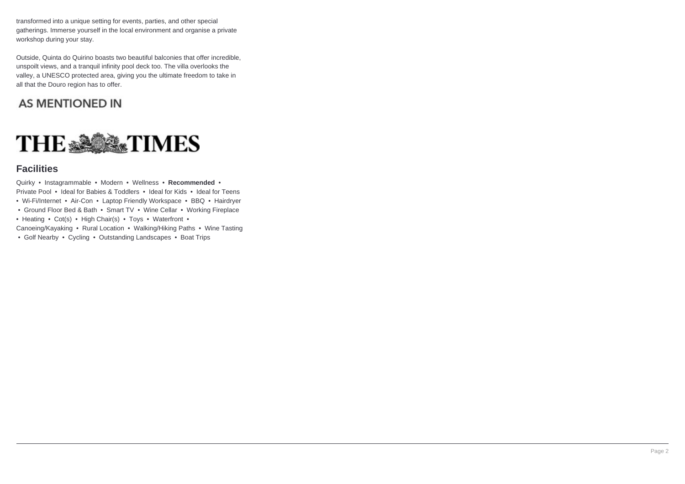transformed into a unique setting for events, parties, and other special gatherings. Immerse yourself in the local environment and organise a private workshop during your stay.

Outside, Quinta do Quirino boasts two beautiful balconies that offer incredible, unspoilt views, and a tranquil infinity pool deck too. The villa overlooks the valley, a UNESCO protected area, giving you the ultimate freedom to take in all that the Douro region has to offer.

### **AS MENTIONED IN**



#### **Facilities**

Quirky • Instagrammable • Modern • Wellness • **Recommended** • Private Pool • Ideal for Babies & Toddlers • Ideal for Kids • Ideal for Teens • Wi-Fi/Internet • Air-Con • Laptop Friendly Workspace • BBQ • Hairdrver

- Ground Floor Bed & Bath Smart TV Wine Cellar Working Fireplace
- Heating Cot(s) High Chair(s) Toys Waterfront •

Canoeing/Kayaking • Rural Location • Walking/Hiking Paths • Wine Tasting

• Golf Nearby • Cycling • Outstanding Landscapes • Boat Trips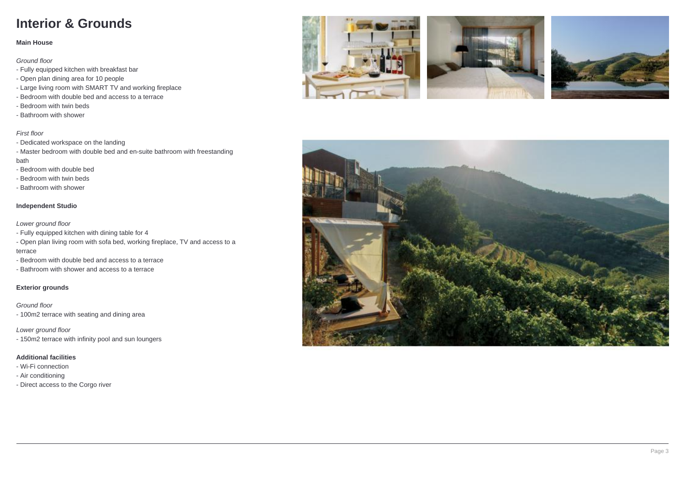## **Interior & Grounds**

#### **Main House**

Ground floor

- Fully equipped kitchen with breakfast bar
- Open plan dining area for 10 people
- Large living room with SMART TV and working fireplace
- Bedroom with double bed and access to a terrace
- Bedroom with twin beds
- Bathroom with shower

#### First floor

- Dedicated workspace on the landing
- Master bedroom with double bed and en-suite bathroom with freestanding bath
- Bedroom with double bed
- Bedroom with twin beds
- Bathroom with shower

#### **Independent Studio**

Lower ground floor

- Fully equipped kitchen with dining table for 4
- Open plan living room with sofa bed, working fireplace, TV and access to a terrace
- Bedroom with double bed and access to a terrace
- Bathroom with shower and access to a terrace

#### **Exterior grounds**

Ground floor - 100m2 terrace with seating and dining area

Lower ground floor - 150m2 terrace with infinity pool and sun loungers

#### **Additional facilities**

- Wi-Fi connection
- Air conditioning
- Direct access to the Corgo river







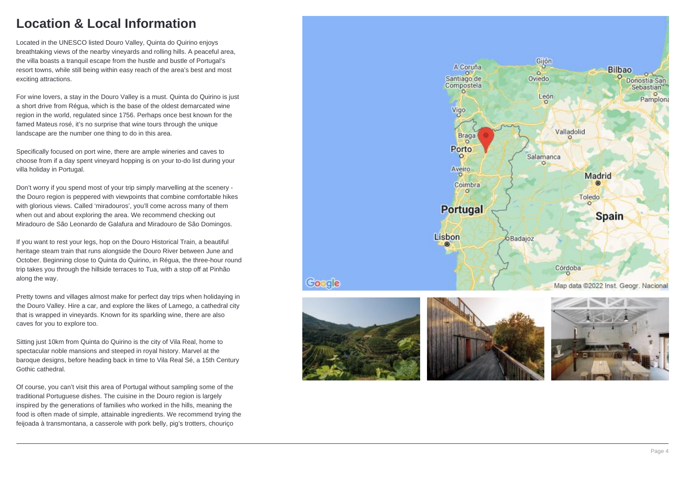### **Location & Local Information**

Located in the UNESCO listed Douro Valley, Quinta do Quirino enjoys breathtaking views of the nearby vineyards and rolling hills. A peaceful area, the villa boasts a tranquil escape from the hustle and bustle of Portugal's resort towns, while still being within easy reach of the area's best and most exciting attractions.

For wine lovers, a stay in the Douro Valley is a must. Quinta do Quirino is just a short drive from Régua, which is the base of the oldest demarcated wine region in the world, regulated since 1756. Perhaps once best known for the famed Mateus rosé, it's no surprise that wine tours through the unique landscape are the number one thing to do in this area.

Specifically focused on port wine, there are ample wineries and caves to choose from if a day spent vineyard hopping is on your to-do list during your villa holiday in Portugal.

Don't worry if you spend most of your trip simply marvelling at the scenery the Douro region is peppered with viewpoints that combine comfortable hikes with glorious views. Called 'miradouros', you'll come across many of them when out and about exploring the area. We recommend checking out Miradouro de São Leonardo de Galafura and Miradouro de São Domingos.

If you want to rest your legs, hop on the Douro Historical Train, a beautiful heritage steam train that runs alongside the Douro River between June and October. Beginning close to Quinta do Quirino, in Régua, the three-hour round trip takes you through the hillside terraces to Tua, with a stop off at Pinhão along the way.

Pretty towns and villages almost make for perfect day trips when holidaying in the Douro Valley. Hire a car, and explore the likes of Lamego, a cathedral city that is wrapped in vineyards. Known for its sparkling wine, there are also caves for you to explore too.

Sitting just 10km from Quinta do Quirino is the city of Vila Real, home to spectacular noble mansions and steeped in royal history. Marvel at the baroque designs, before heading back in time to Vila Real Sé, a 15th Century Gothic cathedral.

Of course, you can't visit this area of Portugal without sampling some of the traditional Portuguese dishes. The cuisine in the Douro region is largely inspired by the generations of families who worked in the hills, meaning the food is often made of simple, attainable ingredients. We recommend trying the feijoada à transmontana, a casserole with pork belly, pig's trotters, chouriço





Google



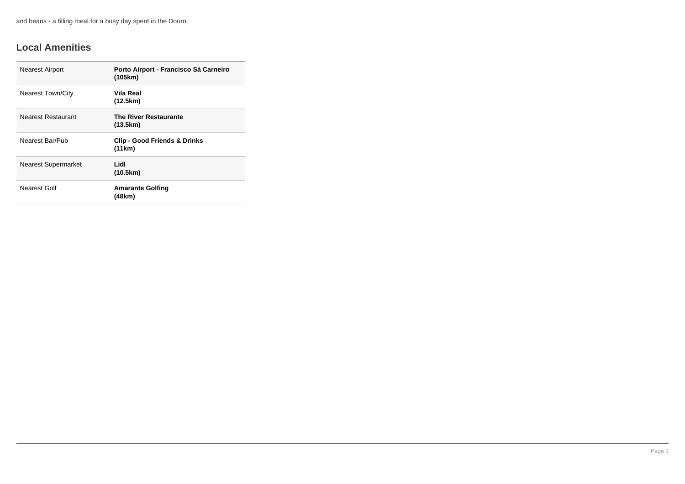and beans - a filling meal for a busy day spent in the Douro.

### **Local Amenities**

| <b>Nearest Airport</b>     | Porto Airport - Francisco Sá Carneiro<br>(105km)  |
|----------------------------|---------------------------------------------------|
| <b>Nearest Town/City</b>   | Vila Real<br>(12.5km)                             |
| Nearest Restaurant         | <b>The River Restaurante</b><br>(13.5km)          |
| Nearest Bar/Pub            | <b>Clip - Good Friends &amp; Drinks</b><br>(11km) |
| <b>Nearest Supermarket</b> | Lidl<br>(10.5km)                                  |
| Nearest Golf               | <b>Amarante Golfing</b><br>(48km)                 |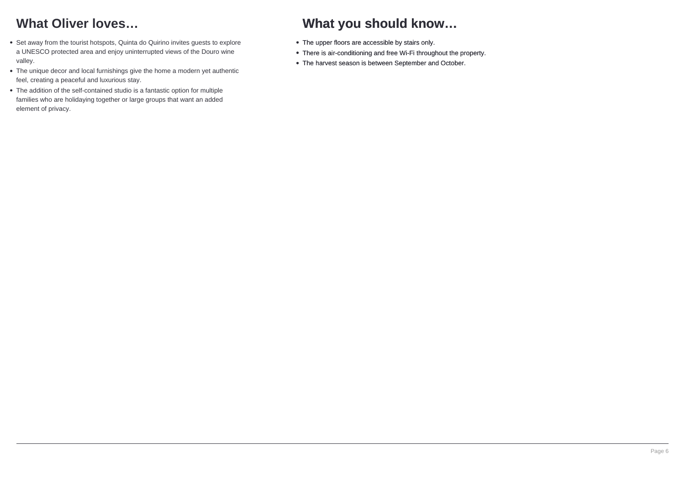# **What Oliver loves…**

- Set away from the tourist hotspots, Quinta do Quirino invites guests to explore a UNESCO protected area and enjoy uninterrupted views of the Douro wine valley.
- The unique decor and local furnishings give the home a modern yet authentic feel, creating a peaceful and luxurious stay.
- The addition of the self-contained studio is a fantastic option for multiple families who are holidaying together or large groups that want an added element of privacy.

# **What you should know…**

- The upper floors are accessible by stairs only.
- There is air-conditioning and free Wi-Fi throughout the property.
- The harvest season is between September and October.